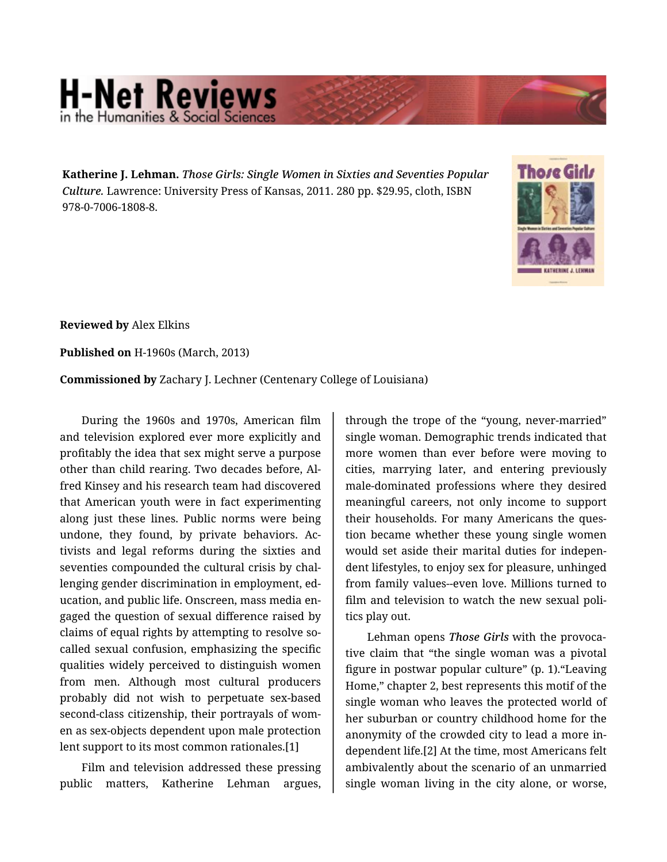## **H-Net Reviews** in the Humanities & Social Scie

**Katherine J. Lehman.** *Those Girls: Single Women in Sixties and Seventies Popular Culture.* Lawrence: University Press of Kansas, 2011. 280 pp. \$29.95, cloth, ISBN 978-0-7006-1808-8.



**Reviewed by** Alex Elkins

**Published on** H-1960s (March, 2013)

**Commissioned by** Zachary J. Lechner (Centenary College of Louisiana)

During the 1960s and 1970s, American film and television explored ever more explicitly and profitably the idea that sex might serve a purpose other than child rearing. Two decades before, Al‐ fred Kinsey and his research team had discovered that American youth were in fact experimenting along just these lines. Public norms were being undone, they found, by private behaviors. Ac‐ tivists and legal reforms during the sixties and seventies compounded the cultural crisis by challenging gender discrimination in employment, ed‐ ucation, and public life. Onscreen, mass media en‐ gaged the question of sexual difference raised by claims of equal rights by attempting to resolve socalled sexual confusion, emphasizing the specific qualities widely perceived to distinguish women from men. Although most cultural producers probably did not wish to perpetuate sex-based second-class citizenship, their portrayals of women as sex-objects dependent upon male protection lent support to its most common rationales.[1]

Film and television addressed these pressing public matters, Katherine Lehman argues,

through the trope of the "young, never-married" single woman. Demographic trends indicated that more women than ever before were moving to cities, marrying later, and entering previously male-dominated professions where they desired meaningful careers, not only income to support their households. For many Americans the ques‐ tion became whether these young single women would set aside their marital duties for indepen‐ dent lifestyles, to enjoy sex for pleasure, unhinged from family values--even love. Millions turned to film and television to watch the new sexual poli‐ tics play out.

Lehman opens *Those Girls* with the provoca‐ tive claim that "the single woman was a pivotal figure in postwar popular culture" (p. 1)."Leaving Home," chapter 2, best represents this motif of the single woman who leaves the protected world of her suburban or country childhood home for the anonymity of the crowded city to lead a more in‐ dependent life.[2] At the time, most Americans felt ambivalently about the scenario of an unmarried single woman living in the city alone, or worse,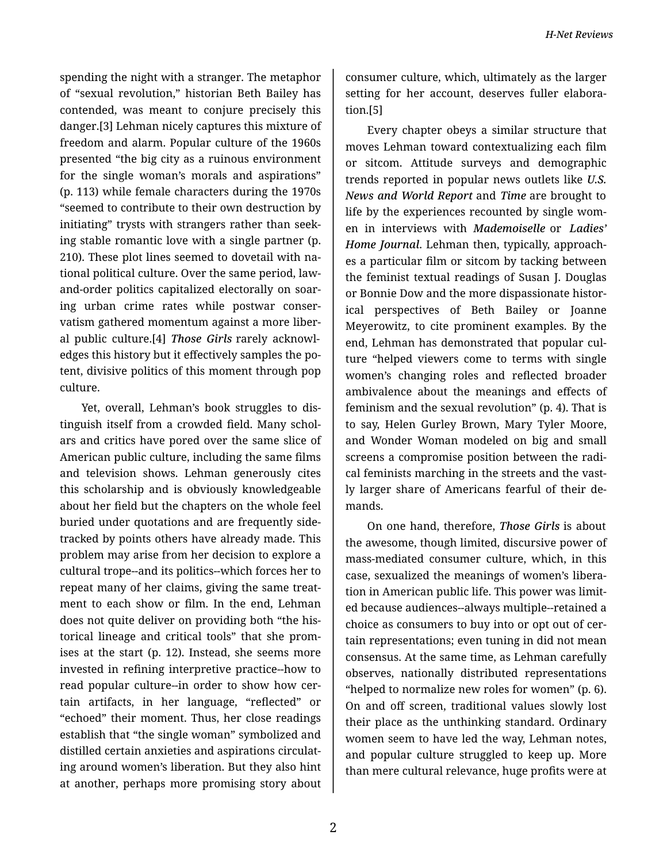spending the night with a stranger. The metaphor of "sexual revolution," historian Beth Bailey has contended, was meant to conjure precisely this danger.[3] Lehman nicely captures this mixture of freedom and alarm. Popular culture of the 1960s presented "the big city as a ruinous environment for the single woman's morals and aspirations" (p. 113) while female characters during the 1970s "seemed to contribute to their own destruction by initiating" trysts with strangers rather than seek‐ ing stable romantic love with a single partner (p. 210). These plot lines seemed to dovetail with na‐ tional political culture. Over the same period, lawand-order politics capitalized electorally on soar‐ ing urban crime rates while postwar conser‐ vatism gathered momentum against a more liber‐ al public culture.[4] *Those Girls* rarely acknowl‐ edges this history but it effectively samples the po‐ tent, divisive politics of this moment through pop culture.

Yet, overall, Lehman's book struggles to dis‐ tinguish itself from a crowded field. Many schol‐ ars and critics have pored over the same slice of American public culture, including the same films and television shows. Lehman generously cites this scholarship and is obviously knowledgeable about her field but the chapters on the whole feel buried under quotations and are frequently side‐ tracked by points others have already made. This problem may arise from her decision to explore a cultural trope--and its politics--which forces her to repeat many of her claims, giving the same treat‐ ment to each show or film. In the end, Lehman does not quite deliver on providing both "the his‐ torical lineage and critical tools" that she prom‐ ises at the start (p. 12). Instead, she seems more invested in refining interpretive practice--how to read popular culture--in order to show how cer‐ tain artifacts, in her language, "reflected" or "echoed" their moment. Thus, her close readings establish that "the single woman" symbolized and distilled certain anxieties and aspirations circulat‐ ing around women's liberation. But they also hint at another, perhaps more promising story about

consumer culture, which, ultimately as the larger setting for her account, deserves fuller elaboration.[5]

Every chapter obeys a similar structure that moves Lehman toward contextualizing each film or sitcom. Attitude surveys and demographic trends reported in popular news outlets like *U.S. News and World Report* and *Time* are brought to life by the experiences recounted by single wom‐ en in interviews with *Mademoiselle* or *Ladies' Home Journal*. Lehman then, typically, approach‐ es a particular film or sitcom by tacking between the feminist textual readings of Susan J. Douglas or Bonnie Dow and the more dispassionate histor‐ ical perspectives of Beth Bailey or Joanne Meyerowitz, to cite prominent examples. By the end, Lehman has demonstrated that popular cul‐ ture "helped viewers come to terms with single women's changing roles and reflected broader ambivalence about the meanings and effects of feminism and the sexual revolution" (p. 4). That is to say, Helen Gurley Brown, Mary Tyler Moore, and Wonder Woman modeled on big and small screens a compromise position between the radi‐ cal feminists marching in the streets and the vastly larger share of Americans fearful of their de‐ mands.

On one hand, therefore, *Those Girls* is about the awesome, though limited, discursive power of mass-mediated consumer culture, which, in this case, sexualized the meanings of women's libera‐ tion in American public life. This power was limit‐ ed because audiences--always multiple--retained a choice as consumers to buy into or opt out of cer‐ tain representations; even tuning in did not mean consensus. At the same time, as Lehman carefully observes, nationally distributed representations "helped to normalize new roles for women" (p. 6). On and off screen, traditional values slowly lost their place as the unthinking standard. Ordinary women seem to have led the way, Lehman notes, and popular culture struggled to keep up. More than mere cultural relevance, huge profits were at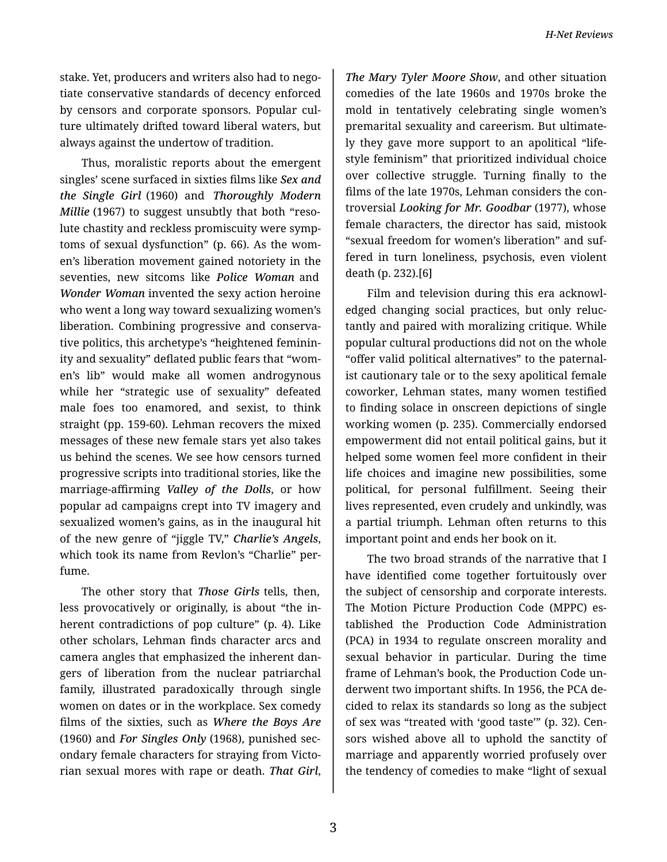stake. Yet, producers and writers also had to nego‐ tiate conservative standards of decency enforced by censors and corporate sponsors. Popular cul‐ ture ultimately drifted toward liberal waters, but always against the undertow of tradition.

Thus, moralistic reports about the emergent singles' scene surfaced in sixties films like *Sex and the Single Girl* (1960) and *Thoroughly Modern Millie* (1967) to suggest unsubtly that both "reso‐ lute chastity and reckless promiscuity were symp‐ toms of sexual dysfunction" (p. 66). As the wom‐ en's liberation movement gained notoriety in the seventies, new sitcoms like *Police Woman* and *Wonder Woman* invented the sexy action heroine who went a long way toward sexualizing women's liberation. Combining progressive and conserva‐ tive politics, this archetype's "heightened feminin‐ ity and sexuality" deflated public fears that "wom‐ en's lib" would make all women androgynous while her "strategic use of sexuality" defeated male foes too enamored, and sexist, to think straight (pp. 159-60). Lehman recovers the mixed messages of these new female stars yet also takes us behind the scenes. We see how censors turned progressive scripts into traditional stories, like the marriage-affirming *Valley of the Dolls*, or how popular ad campaigns crept into TV imagery and sexualized women's gains, as in the inaugural hit of the new genre of "jiggle TV," *Charlie's Angels*, which took its name from Revlon's "Charlie" per‐ fume.

The other story that *Those Girls* tells, then, less provocatively or originally, is about "the in‐ herent contradictions of pop culture" (p. 4). Like other scholars, Lehman finds character arcs and camera angles that emphasized the inherent dan‐ gers of liberation from the nuclear patriarchal family, illustrated paradoxically through single women on dates or in the workplace. Sex comedy films of the sixties, such as *Where the Boys Are* (1960) and *For Singles Only* (1968), punished sec‐ ondary female characters for straying from Victo‐ rian sexual mores with rape or death. *That Girl*,

*The Mary Tyler Moore Show*, and other situation comedies of the late 1960s and 1970s broke the mold in tentatively celebrating single women's premarital sexuality and careerism. But ultimate‐ ly they gave more support to an apolitical "life‐ style feminism" that prioritized individual choice over collective struggle. Turning finally to the films of the late 1970s, Lehman considers the con‐ troversial *Looking for Mr. Goodbar* (1977), whose female characters, the director has said, mistook "sexual freedom for women's liberation" and suf‐ fered in turn loneliness, psychosis, even violent death (p. 232).[6]

Film and television during this era acknowledged changing social practices, but only reluc‐ tantly and paired with moralizing critique. While popular cultural productions did not on the whole "offer valid political alternatives" to the paternal‐ ist cautionary tale or to the sexy apolitical female coworker, Lehman states, many women testified to finding solace in onscreen depictions of single working women (p. 235). Commercially endorsed empowerment did not entail political gains, but it helped some women feel more confident in their life choices and imagine new possibilities, some political, for personal fulfillment. Seeing their lives represented, even crudely and unkindly, was a partial triumph. Lehman often returns to this important point and ends her book on it.

The two broad strands of the narrative that I have identified come together fortuitously over the subject of censorship and corporate interests. The Motion Picture Production Code (MPPC) es‐ tablished the Production Code Administration (PCA) in 1934 to regulate onscreen morality and sexual behavior in particular. During the time frame of Lehman's book, the Production Code un‐ derwent two important shifts. In 1956, the PCA de‐ cided to relax its standards so long as the subject of sex was "treated with 'good taste'" (p. 32). Cen‐ sors wished above all to uphold the sanctity of marriage and apparently worried profusely over the tendency of comedies to make "light of sexual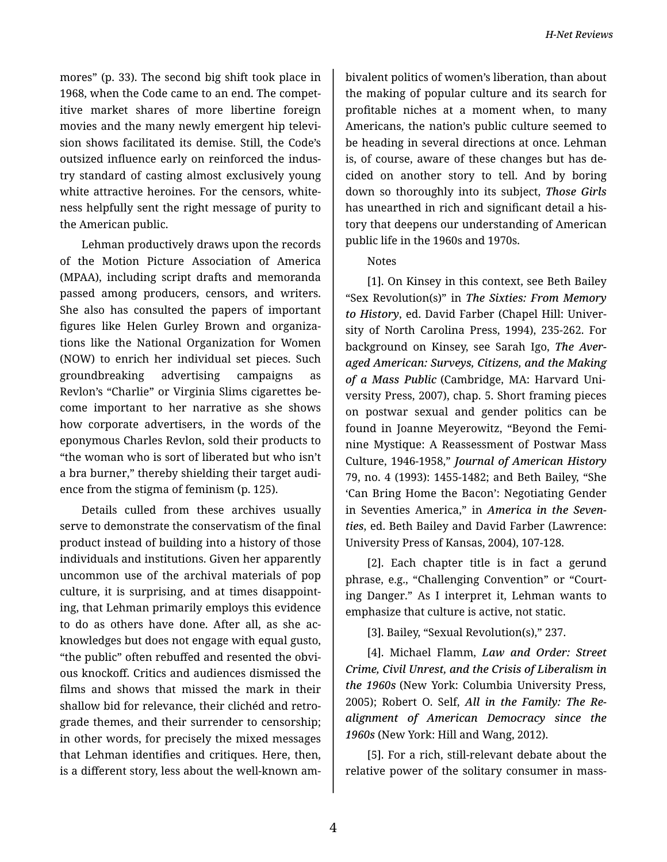mores" (p. 33). The second big shift took place in 1968, when the Code came to an end. The compet‐ itive market shares of more libertine foreign movies and the many newly emergent hip televi‐ sion shows facilitated its demise. Still, the Code's outsized influence early on reinforced the indus‐ try standard of casting almost exclusively young white attractive heroines. For the censors, white‐ ness helpfully sent the right message of purity to the American public.

Lehman productively draws upon the records of the Motion Picture Association of America (MPAA), including script drafts and memoranda passed among producers, censors, and writers. She also has consulted the papers of important figures like Helen Gurley Brown and organiza‐ tions like the National Organization for Women (NOW) to enrich her individual set pieces. Such groundbreaking advertising campaigns as Revlon's "Charlie" or Virginia Slims cigarettes be‐ come important to her narrative as she shows how corporate advertisers, in the words of the eponymous Charles Revlon, sold their products to "the woman who is sort of liberated but who isn't a bra burner," thereby shielding their target audi‐ ence from the stigma of feminism (p. 125).

Details culled from these archives usually serve to demonstrate the conservatism of the final product instead of building into a history of those individuals and institutions. Given her apparently uncommon use of the archival materials of pop culture, it is surprising, and at times disappoint‐ ing, that Lehman primarily employs this evidence to do as others have done. After all, as she ac‐ knowledges but does not engage with equal gusto, "the public" often rebuffed and resented the obvi‐ ous knockoff. Critics and audiences dismissed the films and shows that missed the mark in their shallow bid for relevance, their clichéd and retro‐ grade themes, and their surrender to censorship; in other words, for precisely the mixed messages that Lehman identifies and critiques. Here, then, is a different story, less about the well-known am‐

bivalent politics of women's liberation, than about the making of popular culture and its search for profitable niches at a moment when, to many Americans, the nation's public culture seemed to be heading in several directions at once. Lehman is, of course, aware of these changes but has de‐ cided on another story to tell. And by boring down so thoroughly into its subject, *Those Girls* has unearthed in rich and significant detail a his‐ tory that deepens our understanding of American public life in the 1960s and 1970s.

## Notes

[1]. On Kinsey in this context, see Beth Bailey "Sex Revolution(s)" in *The Sixties: From Memory to History*, ed. David Farber (Chapel Hill: Univer‐ sity of North Carolina Press, 1994), 235-262. For background on Kinsey, see Sarah Igo, *The Aver‐ aged American: Surveys, Citizens, and the Making of a Mass Public* (Cambridge, MA: Harvard Uni‐ versity Press, 2007), chap. 5. Short framing pieces on postwar sexual and gender politics can be found in Joanne Meyerowitz, "Beyond the Femi‐ nine Mystique: A Reassessment of Postwar Mass Culture, 1946-1958," *Journal of American History* 79, no. 4 (1993): 1455-1482; and Beth Bailey, "She 'Can Bring Home the Bacon': Negotiating Gender in Seventies America," in *America in the Seven‐ ties*, ed. Beth Bailey and David Farber (Lawrence: University Press of Kansas, 2004), 107-128.

[2]. Each chapter title is in fact a gerund phrase, e.g., "Challenging Convention" or "Court‐ ing Danger." As I interpret it, Lehman wants to emphasize that culture is active, not static.

[3]. Bailey, "Sexual Revolution(s)," 237.

[4]. Michael Flamm, *Law and Order: Street Crime, Civil Unrest, and the Crisis of Liberalism in the 1960s* (New York: Columbia University Press, 2005); Robert O. Self, *All in the Family: The Re‐ alignment of American Democracy since the 1960s* (New York: Hill and Wang, 2012).

[5]. For a rich, still-relevant debate about the relative power of the solitary consumer in mass-